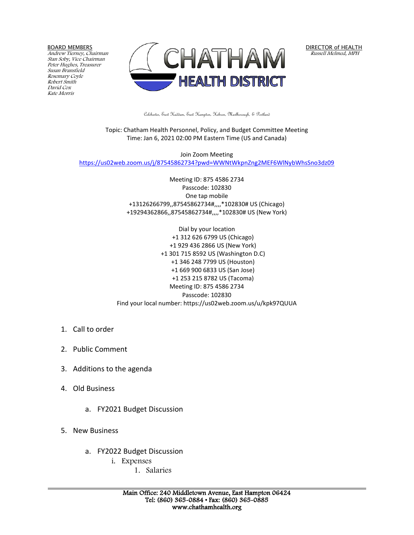BOARD MEMBERS

Andrew Tierney, Chairman Stan Soby, Vice Chairman Peter Hughes, Treasurer Susan Bransfield Rosemary Coyle Robert Smith David Cox Kate Morris



DIRECTOR of HEALTH Russell Melmed, MPH

Colchester, East Haddam, East Hampton, Hebron, Marlborough, & Portland

Topic: Chatham Health Personnel, Policy, and Budget Committee Meeting Time: Jan 6, 2021 02:00 PM Eastern Time (US and Canada)

Join Zoom Meeting <https://us02web.zoom.us/j/87545862734?pwd=WWNtWkpnZng2MEF6WlNybWhsSno3dz09>

> Meeting ID: 875 4586 2734 Passcode: 102830 One tap mobile +13126266799,,87545862734#,,,,\*102830# US (Chicago) +19294362866,,87545862734#,,,,\*102830# US (New York)

Dial by your location +1 312 626 6799 US (Chicago) +1 929 436 2866 US (New York) +1 301 715 8592 US (Washington D.C) +1 346 248 7799 US (Houston) +1 669 900 6833 US (San Jose) +1 253 215 8782 US (Tacoma) Meeting ID: 875 4586 2734 Passcode: 102830 Find your local number: https://us02web.zoom.us/u/kpk97QUUA

- 1. Call to order
- 2. Public Comment
- 3. Additions to the agenda
- 4. Old Business
	- a. FY2021 Budget Discussion
- 5. New Business
	- a. FY2022 Budget Discussion
		- i. Expenses
			- 1. Salaries